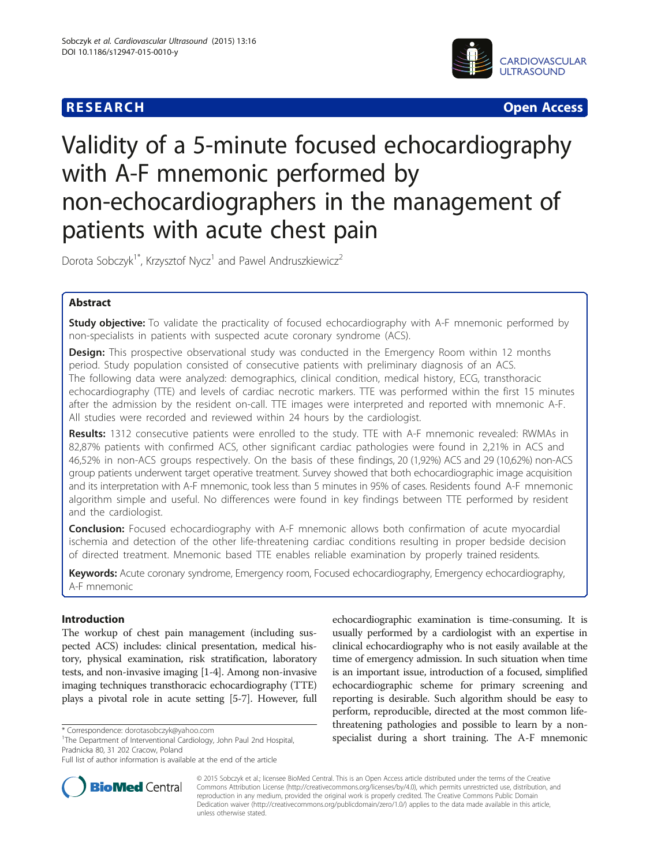

**RESEARCH CHINESE ARCH CHINESE ARCH CHINESE ARCH <b>CHINESE ARCH** 

# Validity of a 5-minute focused echocardiography with A-F mnemonic performed by non-echocardiographers in the management of patients with acute chest pain

Dorota Sobczyk<sup>1\*</sup>, Krzysztof Nycz<sup>1</sup> and Pawel Andruszkiewicz<sup>2</sup>

# Abstract

**Study objective:** To validate the practicality of focused echocardiography with A-F mnemonic performed by non-specialists in patients with suspected acute coronary syndrome (ACS).

**Design:** This prospective observational study was conducted in the Emergency Room within 12 months period. Study population consisted of consecutive patients with preliminary diagnosis of an ACS. The following data were analyzed: demographics, clinical condition, medical history, ECG, transthoracic echocardiography (TTE) and levels of cardiac necrotic markers. TTE was performed within the first 15 minutes after the admission by the resident on-call. TTE images were interpreted and reported with mnemonic A-F. All studies were recorded and reviewed within 24 hours by the cardiologist.

Results: 1312 consecutive patients were enrolled to the study. TTE with A-F mnemonic revealed: RWMAs in 82,87% patients with confirmed ACS, other significant cardiac pathologies were found in 2,21% in ACS and 46,52% in non-ACS groups respectively. On the basis of these findings, 20 (1,92%) ACS and 29 (10,62%) non-ACS group patients underwent target operative treatment. Survey showed that both echocardiographic image acquisition and its interpretation with A-F mnemonic, took less than 5 minutes in 95% of cases. Residents found A-F mnemonic algorithm simple and useful. No differences were found in key findings between TTE performed by resident and the cardiologist.

**Conclusion:** Focused echocardiography with A-F mnemonic allows both confirmation of acute myocardial ischemia and detection of the other life-threatening cardiac conditions resulting in proper bedside decision of directed treatment. Mnemonic based TTE enables reliable examination by properly trained residents.

Keywords: Acute coronary syndrome, Emergency room, Focused echocardiography, Emergency echocardiography, A-F mnemonic

## Introduction

The workup of chest pain management (including suspected ACS) includes: clinical presentation, medical history, physical examination, risk stratification, laboratory tests, and non-invasive imaging [\[1-4](#page-7-0)]. Among non-invasive imaging techniques transthoracic echocardiography (TTE) plays a pivotal role in acute setting [\[5-7](#page-7-0)]. However, full

<sup>1</sup>The Department of Interventional Cardiology, John Paul 2nd Hospital, Pradnicka 80, 31 202 Cracow, Poland

Full list of author information is available at the end of the article





© 2015 Sobczyk et al.; licensee BioMed Central. This is an Open Access article distributed under the terms of the Creative Commons Attribution License [\(http://creativecommons.org/licenses/by/4.0\)](http://creativecommons.org/licenses/by/4.0), which permits unrestricted use, distribution, and reproduction in any medium, provided the original work is properly credited. The Creative Commons Public Domain Dedication waiver [\(http://creativecommons.org/publicdomain/zero/1.0/](http://creativecommons.org/publicdomain/zero/1.0/)) applies to the data made available in this article, unless otherwise stated.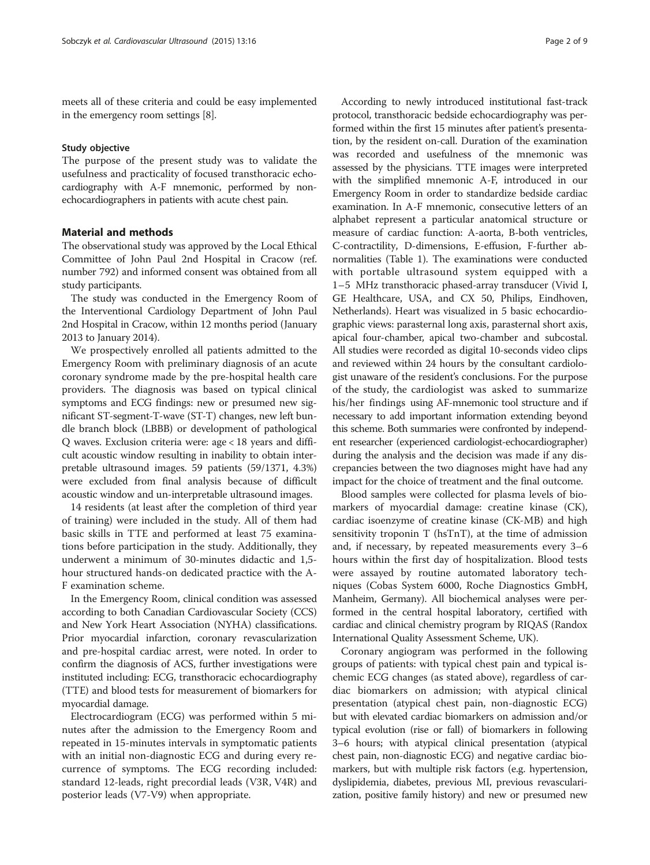meets all of these criteria and could be easy implemented in the emergency room settings [[8](#page-7-0)].

#### Study objective

The purpose of the present study was to validate the usefulness and practicality of focused transthoracic echocardiography with A-F mnemonic, performed by nonechocardiographers in patients with acute chest pain.

### Material and methods

The observational study was approved by the Local Ethical Committee of John Paul 2nd Hospital in Cracow (ref. number 792) and informed consent was obtained from all study participants.

The study was conducted in the Emergency Room of the Interventional Cardiology Department of John Paul 2nd Hospital in Cracow, within 12 months period (January 2013 to January 2014).

We prospectively enrolled all patients admitted to the Emergency Room with preliminary diagnosis of an acute coronary syndrome made by the pre-hospital health care providers. The diagnosis was based on typical clinical symptoms and ECG findings: new or presumed new significant ST-segment-T-wave (ST-T) changes, new left bundle branch block (LBBB) or development of pathological Q waves. Exclusion criteria were: age < 18 years and difficult acoustic window resulting in inability to obtain interpretable ultrasound images. 59 patients (59/1371, 4.3%) were excluded from final analysis because of difficult acoustic window and un-interpretable ultrasound images.

14 residents (at least after the completion of third year of training) were included in the study. All of them had basic skills in TTE and performed at least 75 examinations before participation in the study. Additionally, they underwent a minimum of 30-minutes didactic and 1,5 hour structured hands-on dedicated practice with the A-F examination scheme.

In the Emergency Room, clinical condition was assessed according to both Canadian Cardiovascular Society (CCS) and New York Heart Association (NYHA) classifications. Prior myocardial infarction, coronary revascularization and pre-hospital cardiac arrest, were noted. In order to confirm the diagnosis of ACS, further investigations were instituted including: ECG, transthoracic echocardiography (TTE) and blood tests for measurement of biomarkers for myocardial damage.

Electrocardiogram (ECG) was performed within 5 minutes after the admission to the Emergency Room and repeated in 15-minutes intervals in symptomatic patients with an initial non-diagnostic ECG and during every recurrence of symptoms. The ECG recording included: standard 12-leads, right precordial leads (V3R, V4R) and posterior leads (V7-V9) when appropriate.

According to newly introduced institutional fast-track protocol, transthoracic bedside echocardiography was performed within the first 15 minutes after patient's presentation, by the resident on-call. Duration of the examination was recorded and usefulness of the mnemonic was assessed by the physicians. TTE images were interpreted with the simplified mnemonic A-F, introduced in our Emergency Room in order to standardize bedside cardiac examination. In A-F mnemonic, consecutive letters of an alphabet represent a particular anatomical structure or measure of cardiac function: A-aorta, B-both ventricles, C-contractility, D-dimensions, E-effusion, F-further abnormalities (Table [1](#page-2-0)). The examinations were conducted with portable ultrasound system equipped with a 1–5 MHz transthoracic phased-array transducer (Vivid I, GE Healthcare, USA, and CX 50, Philips, Eindhoven, Netherlands). Heart was visualized in 5 basic echocardiographic views: parasternal long axis, parasternal short axis, apical four-chamber, apical two-chamber and subcostal. All studies were recorded as digital 10-seconds video clips and reviewed within 24 hours by the consultant cardiologist unaware of the resident's conclusions. For the purpose of the study, the cardiologist was asked to summarize his/her findings using AF-mnemonic tool structure and if necessary to add important information extending beyond this scheme. Both summaries were confronted by independent researcher (experienced cardiologist-echocardiographer) during the analysis and the decision was made if any discrepancies between the two diagnoses might have had any impact for the choice of treatment and the final outcome.

Blood samples were collected for plasma levels of biomarkers of myocardial damage: creatine kinase (CK), cardiac isoenzyme of creatine kinase (CK-MB) and high sensitivity troponin T (hsTnT), at the time of admission and, if necessary, by repeated measurements every 3–6 hours within the first day of hospitalization. Blood tests were assayed by routine automated laboratory techniques (Cobas System 6000, Roche Diagnostics GmbH, Manheim, Germany). All biochemical analyses were performed in the central hospital laboratory, certified with cardiac and clinical chemistry program by RIQAS (Randox International Quality Assessment Scheme, UK).

Coronary angiogram was performed in the following groups of patients: with typical chest pain and typical ischemic ECG changes (as stated above), regardless of cardiac biomarkers on admission; with atypical clinical presentation (atypical chest pain, non-diagnostic ECG) but with elevated cardiac biomarkers on admission and/or typical evolution (rise or fall) of biomarkers in following 3–6 hours; with atypical clinical presentation (atypical chest pain, non-diagnostic ECG) and negative cardiac biomarkers, but with multiple risk factors (e.g. hypertension, dyslipidemia, diabetes, previous MI, previous revascularization, positive family history) and new or presumed new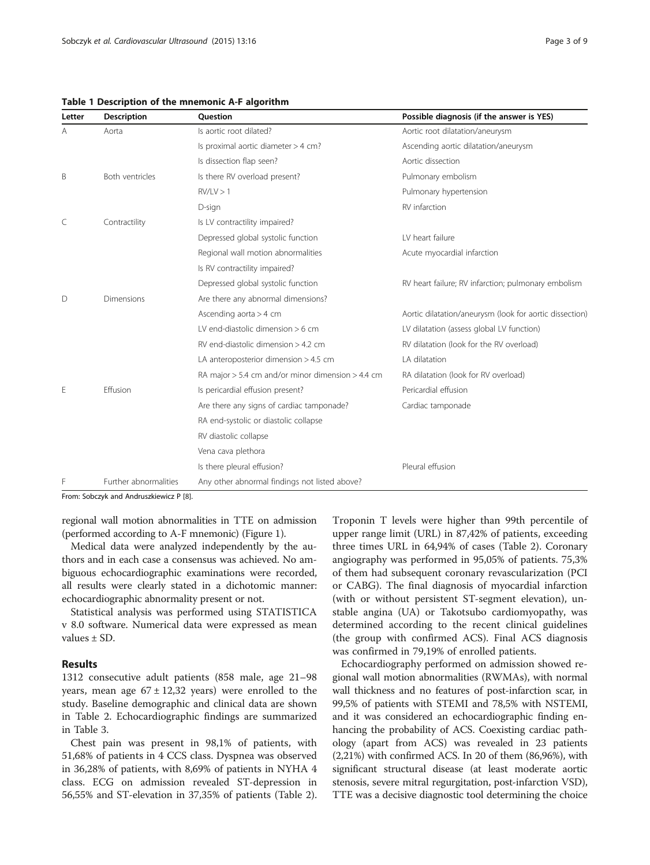| Letter | <b>Description</b>    | Question                                              | Possible diagnosis (if the answer is YES)               |
|--------|-----------------------|-------------------------------------------------------|---------------------------------------------------------|
|        | Aorta                 | Is aortic root dilated?                               | Aortic root dilatation/aneurysm                         |
|        |                       | Is proximal aortic diameter > 4 cm?                   | Ascending aortic dilatation/aneurysm                    |
|        |                       | Is dissection flap seen?                              | Aortic dissection                                       |
| B      | Both ventricles       | Is there RV overload present?                         | Pulmonary embolism                                      |
|        |                       | RV/LV > 1                                             | Pulmonary hypertension                                  |
|        |                       | D-sign                                                | RV infarction                                           |
| C      | Contractility         | Is LV contractility impaired?                         |                                                         |
|        |                       | Depressed global systolic function                    | LV heart failure                                        |
|        |                       | Regional wall motion abnormalities                    | Acute myocardial infarction                             |
|        |                       | Is RV contractility impaired?                         |                                                         |
|        |                       | Depressed global systolic function                    | RV heart failure; RV infarction; pulmonary embolism     |
| D      | <b>Dimensions</b>     | Are there any abnormal dimensions?                    |                                                         |
|        |                       | Ascending aorta > 4 cm                                | Aortic dilatation/aneurysm (look for aortic dissection) |
|        |                       | LV end-diastolic dimension $> 6$ cm                   | LV dilatation (assess global LV function)               |
|        |                       | $RV$ end-diastolic dimension $> 4.2$ cm               | RV dilatation (look for the RV overload)                |
|        |                       | LA anteroposterior dimension $> 4.5$ cm               | LA dilatation                                           |
|        |                       | RA major $> 5.4$ cm and/or minor dimension $> 4.4$ cm | RA dilatation (look for RV overload)                    |
| F      | Effusion              | Is pericardial effusion present?                      | Pericardial effusion                                    |
|        |                       | Are there any signs of cardiac tamponade?             | Cardiac tamponade                                       |
|        |                       | RA end-systolic or diastolic collapse                 |                                                         |
|        |                       | RV diastolic collapse                                 |                                                         |
|        |                       | Vena cava plethora                                    |                                                         |
|        |                       | Is there pleural effusion?                            | Pleural effusion                                        |
|        | Further abnormalities | Any other abnormal findings not listed above?         |                                                         |

<span id="page-2-0"></span>Table 1 Description of the mnemonic A-F algorithm

From: Sobczyk and Andruszkiewicz P [[8](#page-7-0)].

regional wall motion abnormalities in TTE on admission (performed according to A-F mnemonic) (Figure [1](#page-3-0)).

Medical data were analyzed independently by the authors and in each case a consensus was achieved. No ambiguous echocardiographic examinations were recorded, all results were clearly stated in a dichotomic manner: echocardiographic abnormality present or not.

Statistical analysis was performed using STATISTICA v 8.0 software. Numerical data were expressed as mean values ± SD.

#### Results

1312 consecutive adult patients (858 male, age 21–98 years, mean age  $67 \pm 12,32$  years) were enrolled to the study. Baseline demographic and clinical data are shown in Table [2](#page-4-0). Echocardiographic findings are summarized in Table [3.](#page-4-0)

Chest pain was present in 98,1% of patients, with 51,68% of patients in 4 CCS class. Dyspnea was observed in 36,28% of patients, with 8,69% of patients in NYHA 4 class. ECG on admission revealed ST-depression in 56,55% and ST-elevation in 37,35% of patients (Table [2](#page-4-0)).

Troponin T levels were higher than 99th percentile of upper range limit (URL) in 87,42% of patients, exceeding three times URL in 64,94% of cases (Table [2](#page-4-0)). Coronary angiography was performed in 95,05% of patients. 75,3% of them had subsequent coronary revascularization (PCI or CABG). The final diagnosis of myocardial infarction (with or without persistent ST-segment elevation), unstable angina (UA) or Takotsubo cardiomyopathy, was determined according to the recent clinical guidelines (the group with confirmed ACS). Final ACS diagnosis was confirmed in 79,19% of enrolled patients.

Echocardiography performed on admission showed regional wall motion abnormalities (RWMAs), with normal wall thickness and no features of post-infarction scar, in 99,5% of patients with STEMI and 78,5% with NSTEMI, and it was considered an echocardiographic finding enhancing the probability of ACS. Coexisting cardiac pathology (apart from ACS) was revealed in 23 patients (2,21%) with confirmed ACS. In 20 of them (86,96%), with significant structural disease (at least moderate aortic stenosis, severe mitral regurgitation, post-infarction VSD), TTE was a decisive diagnostic tool determining the choice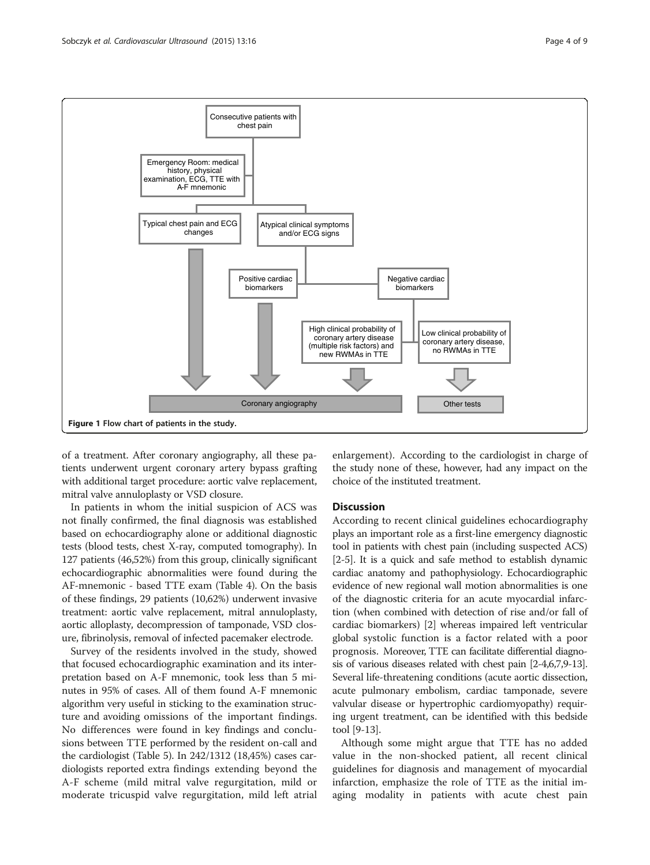<span id="page-3-0"></span>

of a treatment. After coronary angiography, all these patients underwent urgent coronary artery bypass grafting with additional target procedure: aortic valve replacement, mitral valve annuloplasty or VSD closure.

In patients in whom the initial suspicion of ACS was not finally confirmed, the final diagnosis was established based on echocardiography alone or additional diagnostic tests (blood tests, chest X-ray, computed tomography). In 127 patients (46,52%) from this group, clinically significant echocardiographic abnormalities were found during the AF-mnemonic - based TTE exam (Table [4\)](#page-5-0). On the basis of these findings, 29 patients (10,62%) underwent invasive treatment: aortic valve replacement, mitral annuloplasty, aortic alloplasty, decompression of tamponade, VSD closure, fibrinolysis, removal of infected pacemaker electrode.

Survey of the residents involved in the study, showed that focused echocardiographic examination and its interpretation based on A-F mnemonic, took less than 5 minutes in 95% of cases. All of them found A-F mnemonic algorithm very useful in sticking to the examination structure and avoiding omissions of the important findings. No differences were found in key findings and conclusions between TTE performed by the resident on-call and the cardiologist (Table [5](#page-6-0)). In 242/1312 (18,45%) cases cardiologists reported extra findings extending beyond the A-F scheme (mild mitral valve regurgitation, mild or moderate tricuspid valve regurgitation, mild left atrial enlargement). According to the cardiologist in charge of the study none of these, however, had any impact on the choice of the instituted treatment.

### **Discussion**

According to recent clinical guidelines echocardiography plays an important role as a first-line emergency diagnostic tool in patients with chest pain (including suspected ACS) [[2-5\]](#page-7-0). It is a quick and safe method to establish dynamic cardiac anatomy and pathophysiology. Echocardiographic evidence of new regional wall motion abnormalities is one of the diagnostic criteria for an acute myocardial infarction (when combined with detection of rise and/or fall of cardiac biomarkers) [[2\]](#page-7-0) whereas impaired left ventricular global systolic function is a factor related with a poor prognosis. Moreover, TTE can facilitate differential diagnosis of various diseases related with chest pain [\[2-4,6,7,9-13](#page-7-0)]. Several life-threatening conditions (acute aortic dissection, acute pulmonary embolism, cardiac tamponade, severe valvular disease or hypertrophic cardiomyopathy) requiring urgent treatment, can be identified with this bedside tool [\[9-13](#page-7-0)].

Although some might argue that TTE has no added value in the non-shocked patient, all recent clinical guidelines for diagnosis and management of myocardial infarction, emphasize the role of TTE as the initial imaging modality in patients with acute chest pain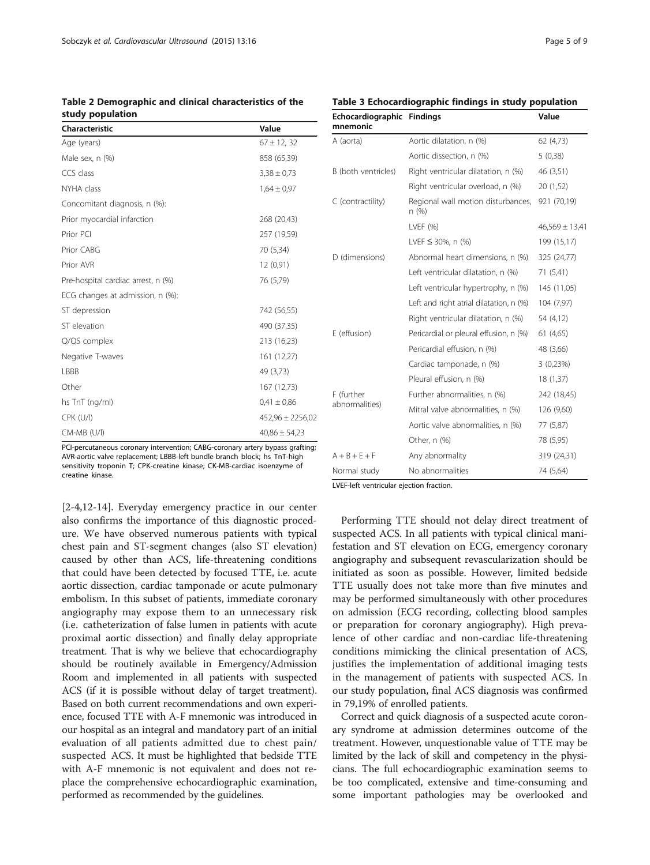<span id="page-4-0"></span>Table 2 Demographic and clinical characteristics of the study population

| Characteristic                     | Value                |
|------------------------------------|----------------------|
| Age (years)                        | $67 \pm 12, 32$      |
| Male sex, n (%)                    | 858 (65,39)          |
| CCS class                          | $3,38 \pm 0,73$      |
| NYHA class                         | $1,64 \pm 0,97$      |
| Concomitant diagnosis, n (%):      |                      |
| Prior myocardial infarction        | 268 (20,43)          |
| Prior PCI                          | 257 (19,59)          |
| Prior CABG                         | 70 (5,34)            |
| Prior AVR                          | 12 (0,91)            |
| Pre-hospital cardiac arrest, n (%) | 76 (5,79)            |
| ECG changes at admission, n (%):   |                      |
| ST depression                      | 742 (56,55)          |
| ST elevation                       | 490 (37,35)          |
| Q/QS complex                       | 213 (16,23)          |
| Negative T-waves                   | 161 (12,27)          |
| LBBB                               | 49 (3,73)            |
| Other                              | 167 (12,73)          |
| hs TnT (ng/ml)                     | $0.41 \pm 0.86$      |
| <b>CPK (U/I)</b>                   | $452,96 \pm 2256,02$ |
| $CM-MB$ (U/I)                      | $40,86 \pm 54,23$    |

PCI-percutaneous coronary intervention; CABG-coronary artery bypass grafting; AVR-aortic valve replacement; LBBB-left bundle branch block; hs TnT-high sensitivity troponin T; CPK-creatine kinase; CK-MB-cardiac isoenzyme of creatine kinase.

[[2-4,12](#page-7-0)-[14\]](#page-7-0). Everyday emergency practice in our center also confirms the importance of this diagnostic procedure. We have observed numerous patients with typical chest pain and ST-segment changes (also ST elevation) caused by other than ACS, life-threatening conditions that could have been detected by focused TTE, i.e. acute aortic dissection, cardiac tamponade or acute pulmonary embolism. In this subset of patients, immediate coronary angiography may expose them to an unnecessary risk (i.e. catheterization of false lumen in patients with acute proximal aortic dissection) and finally delay appropriate treatment. That is why we believe that echocardiography should be routinely available in Emergency/Admission Room and implemented in all patients with suspected ACS (if it is possible without delay of target treatment). Based on both current recommendations and own experience, focused TTE with A-F mnemonic was introduced in our hospital as an integral and mandatory part of an initial evaluation of all patients admitted due to chest pain/ suspected ACS. It must be highlighted that bedside TTE with A-F mnemonic is not equivalent and does not replace the comprehensive echocardiographic examination, performed as recommended by the guidelines.

LVEF-left ventricular ejection fraction.

Performing TTE should not delay direct treatment of suspected ACS. In all patients with typical clinical manifestation and ST elevation on ECG, emergency coronary angiography and subsequent revascularization should be initiated as soon as possible. However, limited bedside TTE usually does not take more than five minutes and may be performed simultaneously with other procedures on admission (ECG recording, collecting blood samples or preparation for coronary angiography). High prevalence of other cardiac and non-cardiac life-threatening conditions mimicking the clinical presentation of ACS, justifies the implementation of additional imaging tests in the management of patients with suspected ACS. In our study population, final ACS diagnosis was confirmed in 79,19% of enrolled patients.

Correct and quick diagnosis of a suspected acute coronary syndrome at admission determines outcome of the treatment. However, unquestionable value of TTE may be limited by the lack of skill and competency in the physicians. The full echocardiographic examination seems to be too complicated, extensive and time-consuming and some important pathologies may be overlooked and

| Echocardiographic Findings<br>mnemonic |                                             | Value              |
|----------------------------------------|---------------------------------------------|--------------------|
| A (aorta)                              | Aortic dilatation, n (%)                    | 62 (4,73)          |
|                                        | Aortic dissection, n (%)                    | 5(0,38)            |
| B (both ventricles)                    | Right ventricular dilatation, n (%)         | 46 (3,51)          |
|                                        | Right ventricular overload, n (%)           | 20 (1,52)          |
| C (contractility)                      | Regional wall motion disturbances,<br>n (%) | 921 (70,19)        |
|                                        | LVEF (%)                                    | $46,569 \pm 13,41$ |
|                                        | LVEF ≤ 30%, n $(%)$                         | 199 (15,17)        |
| D (dimensions)                         | Abnormal heart dimensions, n (%)            | 325 (24,77)        |
|                                        | Left ventricular dilatation, n (%)          | 71 (5,41)          |
|                                        | Left ventricular hypertrophy, n (%)         | 145 (11,05)        |
|                                        | Left and right atrial dilatation, n (%)     | 104 (7,97)         |
|                                        | Right ventricular dilatation, n (%)         | 54 (4,12)          |
| E (effusion)                           | Pericardial or pleural effusion, n (%)      | 61(4,65)           |
|                                        | Pericardial effusion, n (%)                 | 48 (3,66)          |
|                                        | Cardiac tamponade, n (%)                    | 3(0,23%)           |
|                                        | Pleural effusion, n (%)                     | 18 (1,37)          |
| F (further                             | Further abnormalities, n (%)                | 242 (18,45)        |
| abnormalities)                         | Mitral valve abnormalities, n (%)           | 126 (9,60)         |
|                                        | Aortic valve abnormalities, n (%)           | 77 (5,87)          |
|                                        | Other, n (%)                                | 78 (5,95)          |
| $A + B + F + F$                        | Any abnormality                             | 319 (24,31)        |
| Normal study                           | No abnormalities                            | 74 (5,64)          |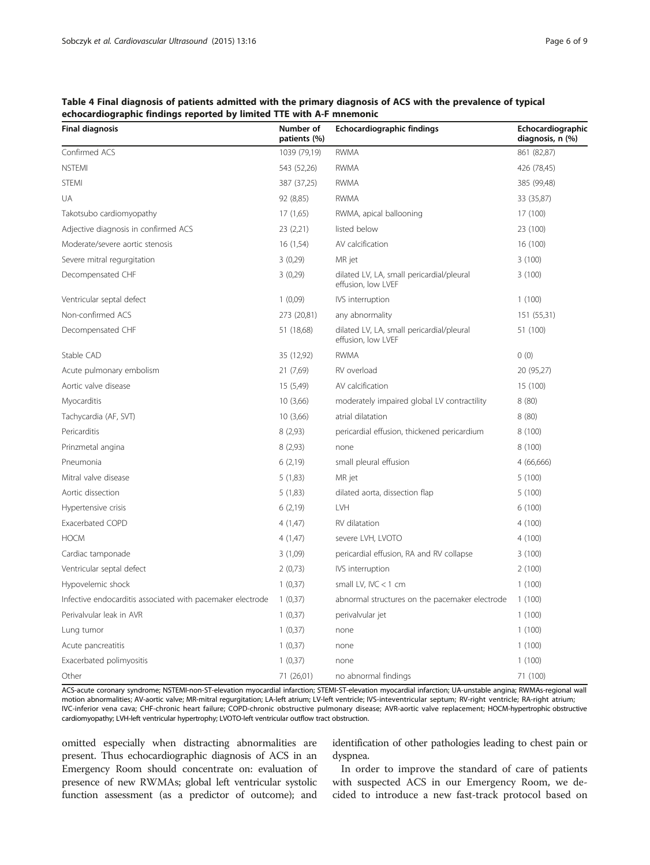| <b>Final diagnosis</b>                                     | Number of<br>patients (%) | <b>Echocardiographic findings</b>                               | Echocardiographic<br>diagnosis, n (%) |
|------------------------------------------------------------|---------------------------|-----------------------------------------------------------------|---------------------------------------|
| Confirmed ACS                                              | 1039 (79,19)              | <b>RWMA</b>                                                     | 861 (82,87)                           |
| <b>NSTEMI</b>                                              | 543 (52,26)               | <b>RWMA</b>                                                     | 426 (78,45)                           |
| <b>STEMI</b>                                               | 387 (37,25)               | <b>RWMA</b>                                                     | 385 (99,48)                           |
| UA                                                         | 92 (8,85)                 | <b>RWMA</b>                                                     | 33 (35,87)                            |
| Takotsubo cardiomyopathy                                   | 17 (1,65)                 | RWMA, apical ballooning                                         | 17 (100)                              |
| Adjective diagnosis in confirmed ACS                       | 23(2,21)                  | listed below                                                    | 23 (100)                              |
| Moderate/severe aortic stenosis                            | 16 (1,54)                 | AV calcification                                                | 16 (100)                              |
| Severe mitral regurgitation                                | 3(0,29)                   | MR jet                                                          | 3(100)                                |
| Decompensated CHF                                          | 3(0,29)                   | dilated LV, LA, small pericardial/pleural<br>effusion, low LVEF | 3(100)                                |
| Ventricular septal defect                                  | 1(0,09)                   | IVS interruption                                                | 1(100)                                |
| Non-confirmed ACS                                          | 273 (20,81)               | any abnormality                                                 | 151 (55,31)                           |
| Decompensated CHF                                          | 51 (18,68)                | dilated LV, LA, small pericardial/pleural<br>effusion, low LVEF | 51 (100)                              |
| Stable CAD                                                 | 35 (12,92)                | <b>RWMA</b>                                                     | 0(0)                                  |
| Acute pulmonary embolism                                   | 21 (7,69)                 | RV overload                                                     | 20 (95,27)                            |
| Aortic valve disease                                       | 15 (5,49)                 | AV calcification                                                | 15 (100)                              |
| Myocarditis                                                | 10(3,66)                  | moderately impaired global LV contractility                     | 8(80)                                 |
| Tachycardia (AF, SVT)                                      | 10(3,66)                  | atrial dilatation                                               | 8(80)                                 |
| Pericarditis                                               | 8(2,93)                   | pericardial effusion, thickened pericardium                     | 8(100)                                |
| Prinzmetal angina                                          | 8(2,93)                   | none                                                            | 8(100)                                |
| Pneumonia                                                  | 6(2,19)                   | small pleural effusion                                          | 4 (66,666)                            |
| Mitral valve disease                                       | 5(1,83)                   | MR jet                                                          | 5(100)                                |
| Aortic dissection                                          | 5(1,83)                   | dilated aorta, dissection flap                                  | 5(100)                                |
| Hypertensive crisis                                        | 6(2,19)                   | LVH                                                             | 6(100)                                |
| Exacerbated COPD                                           | 4(1,47)                   | RV dilatation                                                   | 4(100)                                |
| <b>HOCM</b>                                                | 4(1,47)                   | severe LVH, LVOTO                                               | 4(100)                                |
| Cardiac tamponade                                          | 3(1,09)                   | pericardial effusion, RA and RV collapse                        | 3(100)                                |
| Ventricular septal defect                                  | 2(0,73)                   | IVS interruption                                                | 2(100)                                |
| Hypovelemic shock                                          | 1(0,37)                   | small LV, $IVC < 1$ cm                                          | 1(100)                                |
| Infective endocarditis associated with pacemaker electrode | 1(0,37)                   | abnormal structures on the pacemaker electrode                  | 1(100)                                |
| Perivalvular leak in AVR                                   | 1(0,37)                   | perivalvular jet                                                | 1(100)                                |
| Lung tumor                                                 | 1(0,37)                   | none                                                            | 1(100)                                |
| Acute pancreatitis                                         | 1(0,37)                   | none                                                            | 1(100)                                |
| Exacerbated polimyositis                                   | 1(0,37)                   | none                                                            | 1(100)                                |
| Other                                                      | 71 (26,01)                | no abnormal findings                                            | 71 (100)                              |

<span id="page-5-0"></span>Table 4 Final diagnosis of patients admitted with the primary diagnosis of ACS with the prevalence of typical echocardiographic findings reported by limited TTE with A-F mnemonic

ACS-acute coronary syndrome; NSTEMI-non-ST-elevation myocardial infarction; STEMI-ST-elevation myocardial infarction; UA-unstable angina; RWMAs-regional wall motion abnormalities; AV-aortic valve; MR-mitral regurgitation; LA-left atrium; LV-left ventricle; IVS-inteventricular septum; RV-right ventricle; RA-right atrium; IVC-inferior vena cava; CHF-chronic heart failure; COPD-chronic obstructive pulmonary disease; AVR-aortic valve replacement; HOCM-hypertrophic obstructive cardiomyopathy; LVH-left ventricular hypertrophy; LVOTO-left ventricular outflow tract obstruction.

omitted especially when distracting abnormalities are present. Thus echocardiographic diagnosis of ACS in an Emergency Room should concentrate on: evaluation of presence of new RWMAs; global left ventricular systolic function assessment (as a predictor of outcome); and

identification of other pathologies leading to chest pain or dyspnea.

In order to improve the standard of care of patients with suspected ACS in our Emergency Room, we decided to introduce a new fast-track protocol based on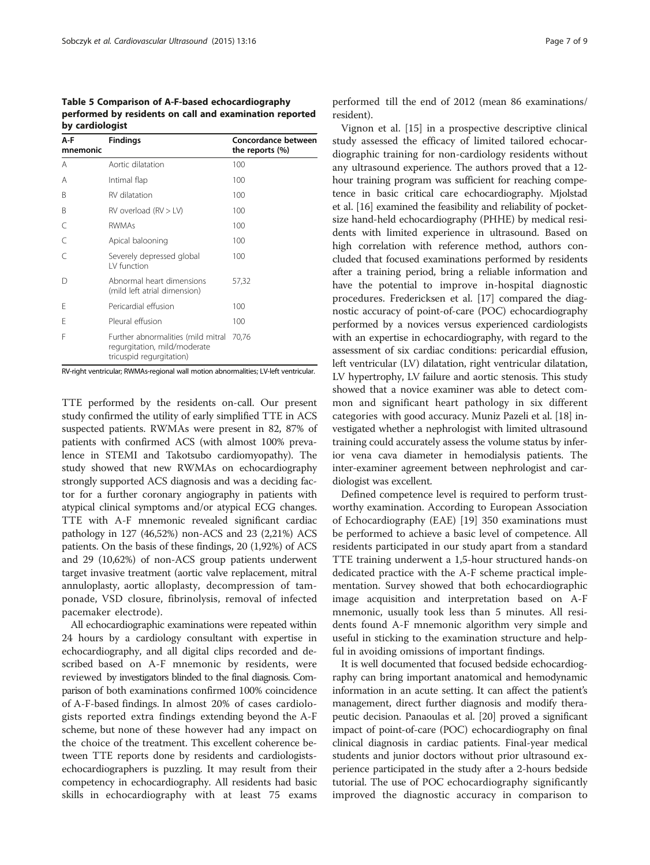<span id="page-6-0"></span>Table 5 Comparison of A-F-based echocardiography performed by residents on call and examination reported by cardiologist

| A-F<br>mnemonic | <b>Findings</b>                                                                                | Concordance between<br>the reports (%) |
|-----------------|------------------------------------------------------------------------------------------------|----------------------------------------|
| A               | Aortic dilatation                                                                              | 100                                    |
| Α               | Intimal flap                                                                                   | 100                                    |
| B               | <b>RV</b> dilatation                                                                           | 100                                    |
| B               | $RV$ overload $(RV > LV)$                                                                      | 100                                    |
| C               | <b>RWMAs</b>                                                                                   | 100                                    |
| C               | Apical balooning                                                                               | 100                                    |
| C               | Severely depressed global<br>IV function                                                       | 100                                    |
| D               | Abnormal heart dimensions<br>(mild left atrial dimension)                                      | 57,32                                  |
| F               | Pericardial effusion                                                                           | 100                                    |
| F               | Pleural effusion                                                                               | 100                                    |
| F               | Further abnormalities (mild mitral<br>regurgitation, mild/moderate<br>tricuspid regurgitation) | 70,76                                  |

RV-right ventricular; RWMAs-regional wall motion abnormalities; LV-left ventricular.

TTE performed by the residents on-call. Our present study confirmed the utility of early simplified TTE in ACS suspected patients. RWMAs were present in 82, 87% of patients with confirmed ACS (with almost 100% prevalence in STEMI and Takotsubo cardiomyopathy). The study showed that new RWMAs on echocardiography strongly supported ACS diagnosis and was a deciding factor for a further coronary angiography in patients with atypical clinical symptoms and/or atypical ECG changes. TTE with A-F mnemonic revealed significant cardiac pathology in 127 (46,52%) non-ACS and 23 (2,21%) ACS patients. On the basis of these findings, 20 (1,92%) of ACS and 29 (10,62%) of non-ACS group patients underwent target invasive treatment (aortic valve replacement, mitral annuloplasty, aortic alloplasty, decompression of tamponade, VSD closure, fibrinolysis, removal of infected pacemaker electrode).

All echocardiographic examinations were repeated within 24 hours by a cardiology consultant with expertise in echocardiography, and all digital clips recorded and described based on A-F mnemonic by residents, were reviewed by investigators blinded to the final diagnosis. Comparison of both examinations confirmed 100% coincidence of A-F-based findings. In almost 20% of cases cardiologists reported extra findings extending beyond the A-F scheme, but none of these however had any impact on the choice of the treatment. This excellent coherence between TTE reports done by residents and cardiologistsechocardiographers is puzzling. It may result from their competency in echocardiography. All residents had basic skills in echocardiography with at least 75 exams performed till the end of 2012 (mean 86 examinations/ resident).

Vignon et al. [\[15](#page-7-0)] in a prospective descriptive clinical study assessed the efficacy of limited tailored echocardiographic training for non-cardiology residents without any ultrasound experience. The authors proved that a 12 hour training program was sufficient for reaching competence in basic critical care echocardiography. Mjolstad et al. [[16](#page-8-0)] examined the feasibility and reliability of pocketsize hand-held echocardiography (PHHE) by medical residents with limited experience in ultrasound. Based on high correlation with reference method, authors concluded that focused examinations performed by residents after a training period, bring a reliable information and have the potential to improve in-hospital diagnostic procedures. Fredericksen et al. [\[17](#page-8-0)] compared the diagnostic accuracy of point-of-care (POC) echocardiography performed by a novices versus experienced cardiologists with an expertise in echocardiography, with regard to the assessment of six cardiac conditions: pericardial effusion, left ventricular (LV) dilatation, right ventricular dilatation, LV hypertrophy, LV failure and aortic stenosis. This study showed that a novice examiner was able to detect common and significant heart pathology in six different categories with good accuracy. Muniz Pazeli et al. [[18](#page-8-0)] investigated whether a nephrologist with limited ultrasound training could accurately assess the volume status by inferior vena cava diameter in hemodialysis patients. The inter-examiner agreement between nephrologist and cardiologist was excellent.

Defined competence level is required to perform trustworthy examination. According to European Association of Echocardiography (EAE) [\[19\]](#page-8-0) 350 examinations must be performed to achieve a basic level of competence. All residents participated in our study apart from a standard TTE training underwent a 1,5-hour structured hands-on dedicated practice with the A-F scheme practical implementation. Survey showed that both echocardiographic image acquisition and interpretation based on A-F mnemonic, usually took less than 5 minutes. All residents found A-F mnemonic algorithm very simple and useful in sticking to the examination structure and helpful in avoiding omissions of important findings.

It is well documented that focused bedside echocardiography can bring important anatomical and hemodynamic information in an acute setting. It can affect the patient's management, direct further diagnosis and modify therapeutic decision. Panaoulas et al. [\[20\]](#page-8-0) proved a significant impact of point-of-care (POC) echocardiography on final clinical diagnosis in cardiac patients. Final-year medical students and junior doctors without prior ultrasound experience participated in the study after a 2-hours bedside tutorial. The use of POC echocardiography significantly improved the diagnostic accuracy in comparison to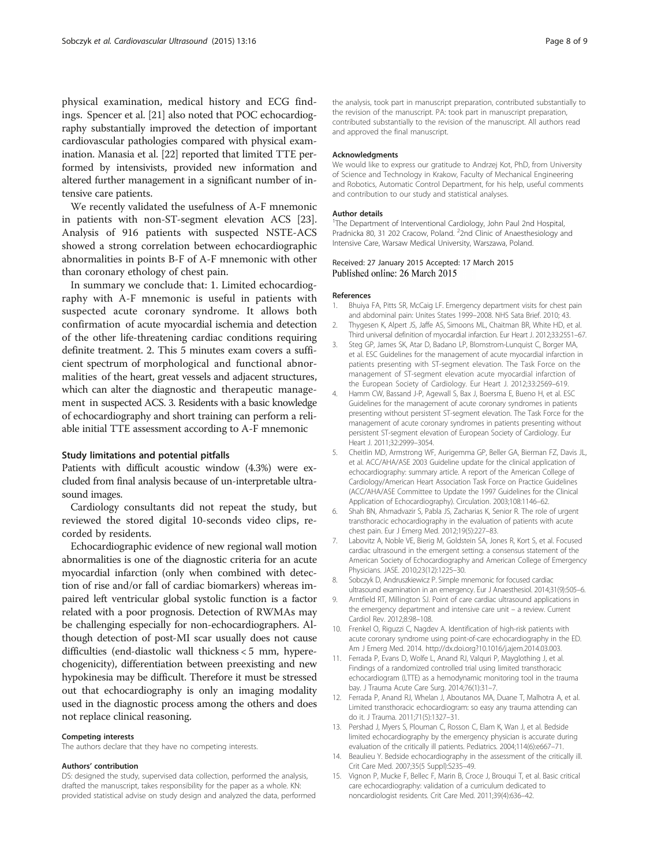<span id="page-7-0"></span>physical examination, medical history and ECG findings. Spencer et al. [[21\]](#page-8-0) also noted that POC echocardiography substantially improved the detection of important cardiovascular pathologies compared with physical examination. Manasia et al. [\[22\]](#page-8-0) reported that limited TTE performed by intensivists, provided new information and altered further management in a significant number of intensive care patients.

We recently validated the usefulness of A-F mnemonic in patients with non-ST-segment elevation ACS [\[23](#page-8-0)]. Analysis of 916 patients with suspected NSTE-ACS showed a strong correlation between echocardiographic abnormalities in points B-F of A-F mnemonic with other than coronary ethology of chest pain.

In summary we conclude that: 1. Limited echocardiography with A-F mnemonic is useful in patients with suspected acute coronary syndrome. It allows both confirmation of acute myocardial ischemia and detection of the other life-threatening cardiac conditions requiring definite treatment. 2. This 5 minutes exam covers a sufficient spectrum of morphological and functional abnormalities of the heart, great vessels and adjacent structures, which can alter the diagnostic and therapeutic management in suspected ACS. 3. Residents with a basic knowledge of echocardiography and short training can perform a reliable initial TTE assessment according to A-F mnemonic

#### Study limitations and potential pitfalls

Patients with difficult acoustic window (4.3%) were excluded from final analysis because of un-interpretable ultrasound images.

Cardiology consultants did not repeat the study, but reviewed the stored digital 10-seconds video clips, recorded by residents.

Echocardiographic evidence of new regional wall motion abnormalities is one of the diagnostic criteria for an acute myocardial infarction (only when combined with detection of rise and/or fall of cardiac biomarkers) whereas impaired left ventricular global systolic function is a factor related with a poor prognosis. Detection of RWMAs may be challenging especially for non-echocardiographers. Although detection of post-MI scar usually does not cause difficulties (end-diastolic wall thickness < 5 mm, hyperechogenicity), differentiation between preexisting and new hypokinesia may be difficult. Therefore it must be stressed out that echocardiography is only an imaging modality used in the diagnostic process among the others and does not replace clinical reasoning.

#### Competing interests

The authors declare that they have no competing interests.

#### Authors' contribution

DS: designed the study, supervised data collection, performed the analysis, drafted the manuscript, takes responsibility for the paper as a whole. KN: provided statistical advise on study design and analyzed the data, performed

the analysis, took part in manuscript preparation, contributed substantially to the revision of the manuscript. PA: took part in manuscript preparation, contributed substantially to the revision of the manuscript. All authors read and approved the final manuscript.

#### Acknowledgments

We would like to express our gratitude to Andrzej Kot, PhD, from University of Science and Technology in Krakow, Faculty of Mechanical Engineering and Robotics, Automatic Control Department, for his help, useful comments and contribution to our study and statistical analyses.

#### Author details

<sup>1</sup>The Department of Interventional Cardiology, John Paul 2nd Hospital, Pradnicka 80, 31 202 Cracow, Poland. <sup>2</sup>2nd Clinic of Anaesthesiology and Intensive Care, Warsaw Medical University, Warszawa, Poland.

#### Received: 27 January 2015 Accepted: 17 March 2015 Published online: 26 March 2015

#### References

- 1. Bhuiya FA, Pitts SR, McCaig LF. Emergency department visits for chest pain and abdominal pain: Unites States 1999–2008. NHS Sata Brief. 2010; 43.
- 2. Thygesen K, Alpert JS, Jaffe AS, Simoons ML, Chaitman BR, White HD, et al. Third universal definition of myocardial infarction. Eur Heart J. 2012;33:2551–67.
- 3. Steg GP, James SK, Atar D, Badano LP, Blomstrom-Lunquist C, Borger MA, et al. ESC Guidelines for the management of acute myocardial infarction in patients presenting with ST-segment elevation. The Task Force on the management of ST-segment elevation acute myocardial infarction of the European Society of Cardiology. Eur Heart J. 2012;33:2569–619.
- 4. Hamm CW, Bassand J-P, Agewall S, Bax J, Boersma E, Bueno H, et al. ESC Guidelines for the management of acute coronary syndromes in patients presenting without persistent ST-segment elevation. The Task Force for the management of acute coronary syndromes in patients presenting without persistent ST-segment elevation of European Society of Cardiology. Eur Heart J. 2011;32:2999–3054.
- 5. Cheitlin MD, Armstrong WF, Aurigemma GP, Beller GA, Bierman FZ, Davis JL, et al. ACC/AHA/ASE 2003 Guideline update for the clinical application of echocardiography: summary article. A report of the American College of Cardiology/American Heart Association Task Force on Practice Guidelines (ACC/AHA/ASE Committee to Update the 1997 Guidelines for the Clinical Application of Echocardiography). Circulation. 2003;108:1146–62.
- 6. Shah BN, Ahmadvazir S, Pabla JS, Zacharias K, Senior R. The role of urgent transthoracic echocardiography in the evaluation of patients with acute chest pain. Eur J Emerg Med. 2012;19(5):227–83.
- 7. Labovitz A, Noble VE, Bierig M, Goldstein SA, Jones R, Kort S, et al. Focused cardiac ultrasound in the emergent setting: a consensus statement of the American Society of Echocardiography and American College of Emergency Physicians. JASE. 2010;23(12):1225–30.
- 8. Sobczyk D, Andruszkiewicz P. Simple mnemonic for focused cardiac ultrasound examination in an emergency. Eur J Anaesthesiol. 2014;31(9):505–6.
- 9. Arntfield RT, Millington SJ. Point of care cardiac ultrasound applications in the emergency department and intensive care unit – a review. Current Cardiol Rev. 2012;8:98–108.
- 10. Frenkel O, Riguzzi C, Nagdev A. Identification of high-risk patients with acute coronary syndrome using point-of-care echocardiography in the ED. Am J Emerg Med. 2014. http://dx.doi.org?10.1016/j.ajem.2014.03.003.
- 11. Ferrada P, Evans D, Wolfe L, Anand RJ, Valquri P, Mayglothing J, et al. Findings of a randomized controlled trial using limited transthoracic echocardiogram (LTTE) as a hemodynamic monitoring tool in the trauma bay. J Trauma Acute Care Surg. 2014;76(1):31–7.
- 12. Ferrada P, Anand RJ, Whelan J, Aboutanos MA, Duane T, Malhotra A, et al. Limited transthoracic echocardiogram: so easy any trauma attending can do it. J Trauma. 2011;71(5):1327–31.
- 13. Pershad J, Myers S, Plouman C, Rosson C, Elam K, Wan J, et al. Bedside limited echocardiography by the emergency physician is accurate during evaluation of the critically ill patients. Pediatrics. 2004;114(6):e667–71.
- 14. Beaulieu Y. Bedside echocardiography in the assessment of the critically ill. Crit Care Med. 2007;35(5 Suppl):S235–49.
- 15. Vignon P, Mucke F, Bellec F, Marin B, Croce J, Brouqui T, et al. Basic critical care echocardiography: validation of a curriculum dedicated to noncardiologist residents. Crit Care Med. 2011;39(4):636–42.